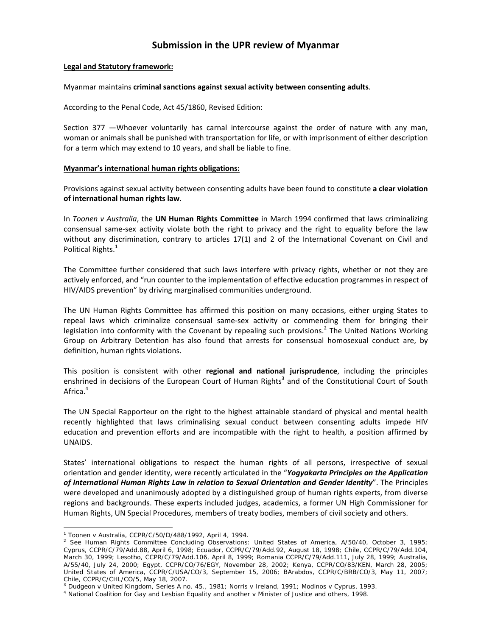# **Submission in the UPR review of Myanmar**

### **Legal and Statutory framework:**

#### Myanmar maintains **criminal sanctions against sexual activity between consenting adults**.

According to the Penal Code, Act 45/1860, Revised Edition:

Section 377 —Whoever voluntarily has carnal intercourse against the order of nature with any man, woman or animals shall be punished with transportation for life, or with imprisonment of either description for a term which may extend to 10 years, and shall be liable to fine.

## **Myanmar's international human rights obligations:**

Provisions against sexual activity between consenting adults have been found to constitute **a clear violation of international human rights law**.

In *Toonen v Australia*, the **UN Human Rights Committee** in March 1994 confirmed that laws criminalizing consensual same‐sex activity violate both the right to privacy and the right to equality before the law without any discrimination, contrary to articles 17(1) and 2 of the International Covenant on Civil and Political Rights.<sup>1</sup>

The Committee further considered that such laws interfere with privacy rights, whether or not they are actively enforced, and "run counter to the implementation of effective education programmes in respect of HIV/AIDS prevention" by driving marginalised communities underground.

The UN Human Rights Committee has affirmed this position on many occasions, either urging States to repeal laws which criminalize consensual same‐sex activity or commending them for bringing their legislation into conformity with the Covenant by repealing such provisions.<sup>2</sup> The United Nations Working Group on Arbitrary Detention has also found that arrests for consensual homosexual conduct are, by definition, human rights violations.

This position is consistent with other **regional and national jurisprudence**, including the principles enshrined in decisions of the European Court of Human Rights<sup>3</sup> and of the Constitutional Court of South Africa.<sup>4</sup>

The UN Special Rapporteur on the right to the highest attainable standard of physical and mental health recently highlighted that laws criminalising sexual conduct between consenting adults impede HIV education and prevention efforts and are incompatible with the right to health, a position affirmed by UNAIDS.

States' international obligations to respect the human rights of all persons, irrespective of sexual orientation and gender identity, were recently articulated in the "*Yogyakarta Principles on the Application of International Human Rights Law in relation to Sexual Orientation and Gender Identity*". The Principles were developed and unanimously adopted by a distinguished group of human rights experts, from diverse regions and backgrounds. These experts included judges, academics, a former UN High Commissioner for Human Rights, UN Special Procedures, members of treaty bodies, members of civil society and others.

 $\overline{a}$ 

<sup>1</sup> *Toonen* v *Australia*, CCPR/C/50/D/488/1992, April 4, 1994. 2

 $^2$  See Human Rights Committee Concluding Observations: United States of America, A/50/40, October 3, 1995; Cyprus, CCPR/C/79/Add.88, April 6, 1998; Ecuador, CCPR/C/79/Add.92, August 18, 1998; Chile, CCPR/C/79/Add.104, March 30, 1999; Lesotho, CCPR/C/79/Add.106, April 8, 1999; Romania CCPR/C/79/Add.111, July 28, 1999; Australia, A/55/40, July 24, 2000; Egypt, CCPR/CO/76/EGY, November 28, 2002; Kenya, CCPR/CO/83/KEN, March 28, 2005; United States of America, CCPR/C/USA/CO/3, September 15, 2006; BArabdos, CCPR/C/BRB/CO/3, May 11, 2007; Chile, CCPR/C/CHL/CO/5, May 18, 2007.

<sup>&</sup>lt;sup>3</sup> Dudgeon v United Kingdom, Series A no. 45., 1981; Norris v Ireland, 1991; Modinos v Cyprus, 1993.<br><sup>4</sup> National Coalition for Gay and Lesbian Equality and another v Minister of Justice and others, 1998.